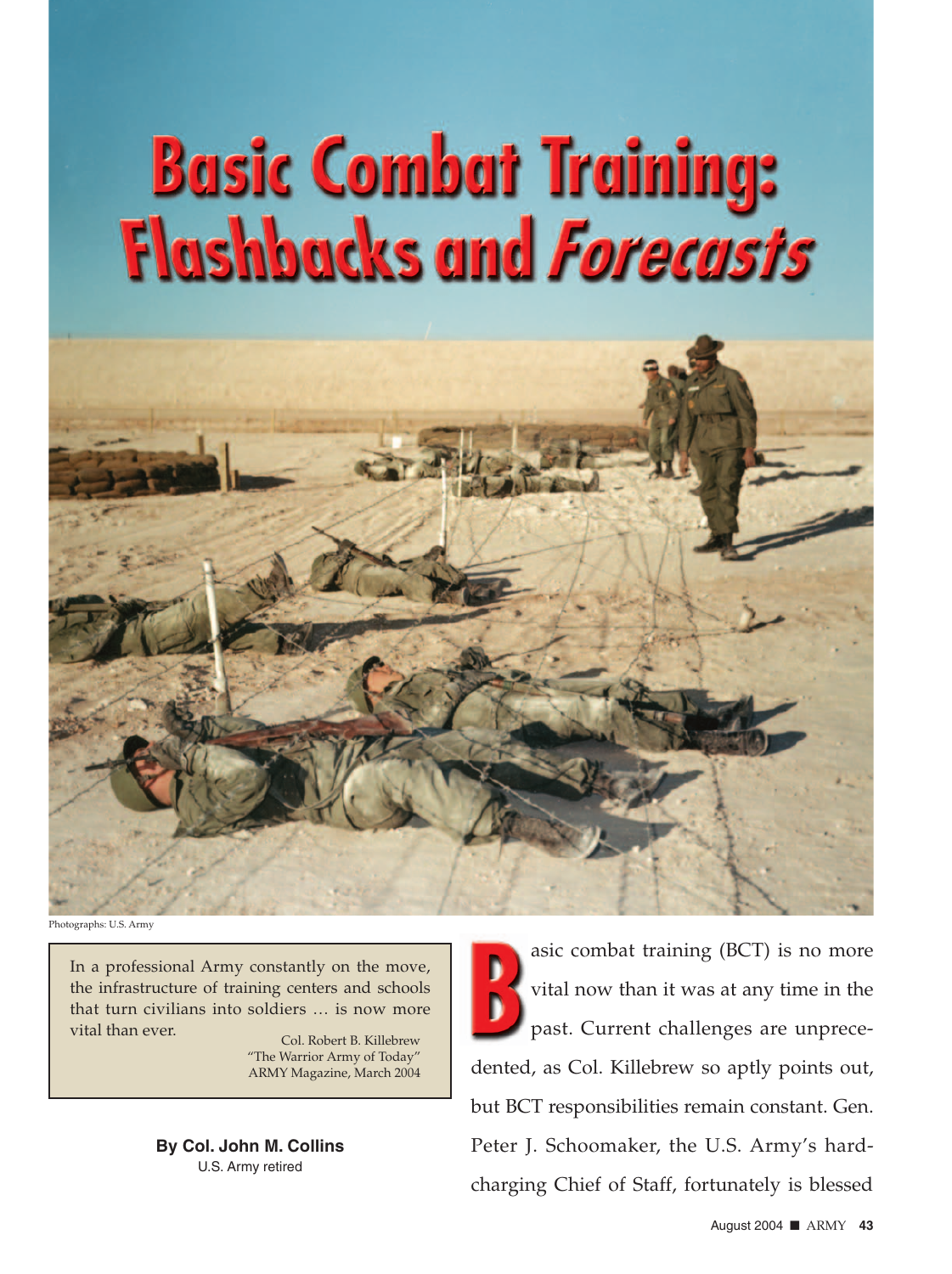## **Basic Combat Training: Flashbacks and Forecasts**



Photographs: U.S. Army

In a professional Army constantly on the move, the infrastructure of training centers and schools that turn civilians into soldiers … is now more vital than ever.

Col. Robert B. Killebrew "The Warrior Army of Today" ARMY Magazine, March 2004

**By Col. John M. Collins** U.S. Army retired

asic combat training (BCT) is no more<br>vital now than it was at any time in the<br>past. Current challenges are unprece-<br>dented, as Col. Killebrew so aptly points out, asic combat training (BCT) is no more vital now than it was at any time in the past. Current challenges are unprecebut BCT responsibilities remain constant. Gen. Peter J. Schoomaker, the U.S. Army's hardcharging Chief of Staff, fortunately is blessed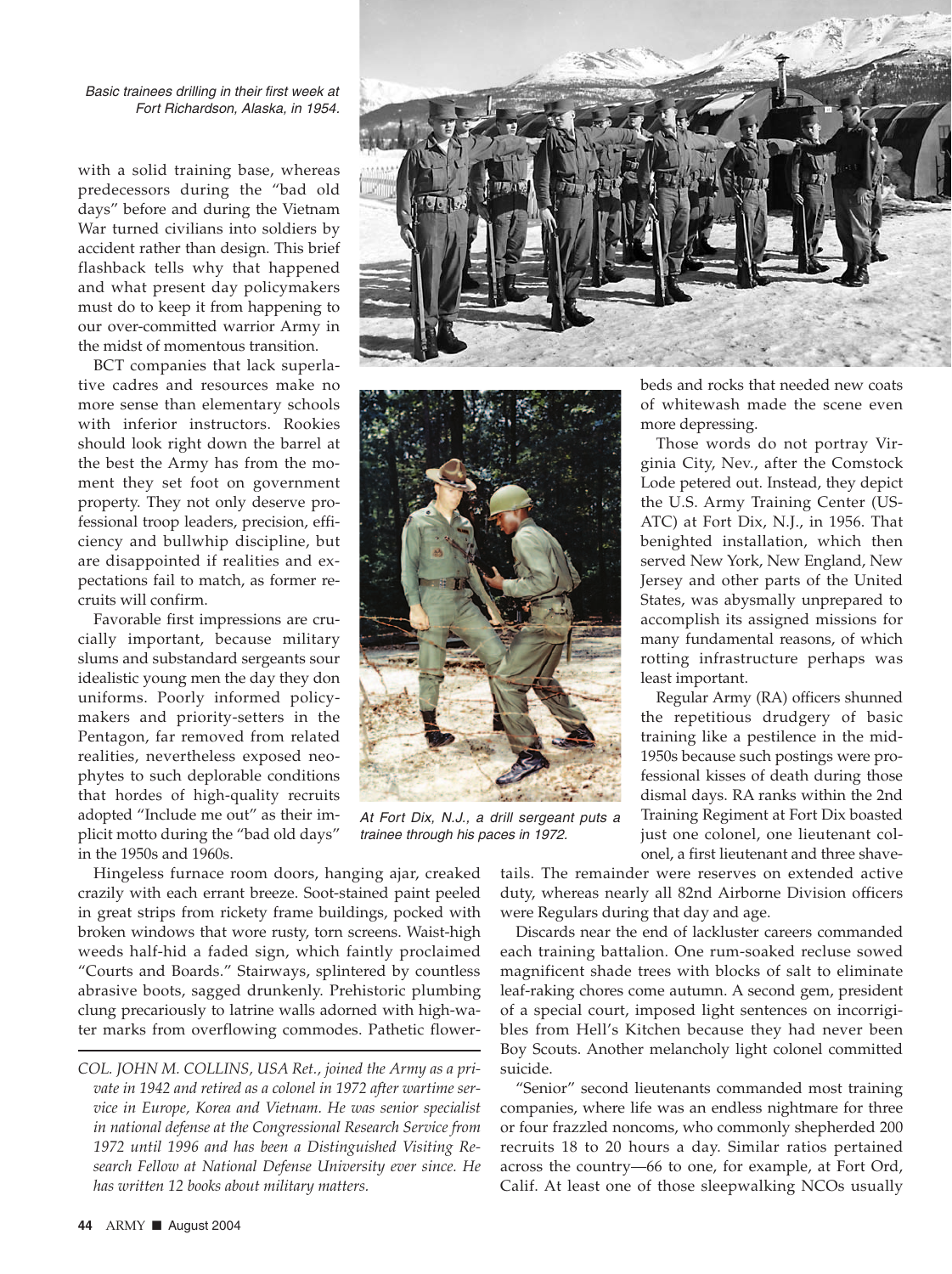Basic trainees drilling in their first week at Fort Richardson, Alaska, in 1954.

with a solid training base, whereas predecessors during the "bad old days" before and during the Vietnam War turned civilians into soldiers by accident rather than design. This brief flashback tells why that happened and what present day policymakers must do to keep it from happening to our over-committed warrior Army in the midst of momentous transition.

BCT companies that lack superlative cadres and resources make no more sense than elementary schools with inferior instructors. Rookies should look right down the barrel at the best the Army has from the moment they set foot on government property. They not only deserve professional troop leaders, precision, efficiency and bullwhip discipline, but are disappointed if realities and expectations fail to match, as former recruits will confirm.

Favorable first impressions are crucially important, because military slums and substandard sergeants sour idealistic young men the day they don uniforms. Poorly informed policymakers and priority-setters in the Pentagon, far removed from related realities, nevertheless exposed neophytes to such deplorable conditions that hordes of high-quality recruits adopted "Include me out" as their implicit motto during the "bad old days" in the 1950s and 1960s.

Hingeless furnace room doors, hanging ajar, creaked crazily with each errant breeze. Soot-stained paint peeled in great strips from rickety frame buildings, pocked with broken windows that wore rusty, torn screens. Waist-high weeds half-hid a faded sign, which faintly proclaimed "Courts and Boards." Stairways, splintered by countless abrasive boots, sagged drunkenly. Prehistoric plumbing clung precariously to latrine walls adorned with high-water marks from overflowing commodes. Pathetic flower-

*COL. JOHN M. COLLINS, USA Ret., joined the Army as a private in 1942 and retired as a colonel in 1972 after wartime service in Europe, Korea and Vietnam. He was senior specialist in national defense at the Congressional Research Service from 1972 until 1996 and has been a Distinguished Visiting Research Fellow at National Defense University ever since. He has written 12 books about military matters.*





At Fort Dix, N.J., a drill sergeant puts a trainee through his paces in 1972.

beds and rocks that needed new coats of whitewash made the scene even more depressing.

Those words do not portray Virginia City, Nev., after the Comstock Lode petered out. Instead, they depict the U.S. Army Training Center (US-ATC) at Fort Dix, N.J., in 1956. That benighted installation, which then served New York, New England, New Jersey and other parts of the United States, was abysmally unprepared to accomplish its assigned missions for many fundamental reasons, of which rotting infrastructure perhaps was least important.

Regular Army (RA) officers shunned the repetitious drudgery of basic training like a pestilence in the mid-1950s because such postings were professional kisses of death during those dismal days. RA ranks within the 2nd Training Regiment at Fort Dix boasted just one colonel, one lieutenant colonel, a first lieutenant and three shave-

tails. The remainder were reserves on extended active duty, whereas nearly all 82nd Airborne Division officers were Regulars during that day and age.

Discards near the end of lackluster careers commanded each training battalion. One rum-soaked recluse sowed magnificent shade trees with blocks of salt to eliminate leaf-raking chores come autumn. A second gem, president of a special court, imposed light sentences on incorrigibles from Hell's Kitchen because they had never been Boy Scouts. Another melancholy light colonel committed suicide.

"Senior" second lieutenants commanded most training companies, where life was an endless nightmare for three or four frazzled noncoms, who commonly shepherded 200 recruits 18 to 20 hours a day. Similar ratios pertained across the country—66 to one, for example, at Fort Ord, Calif. At least one of those sleepwalking NCOs usually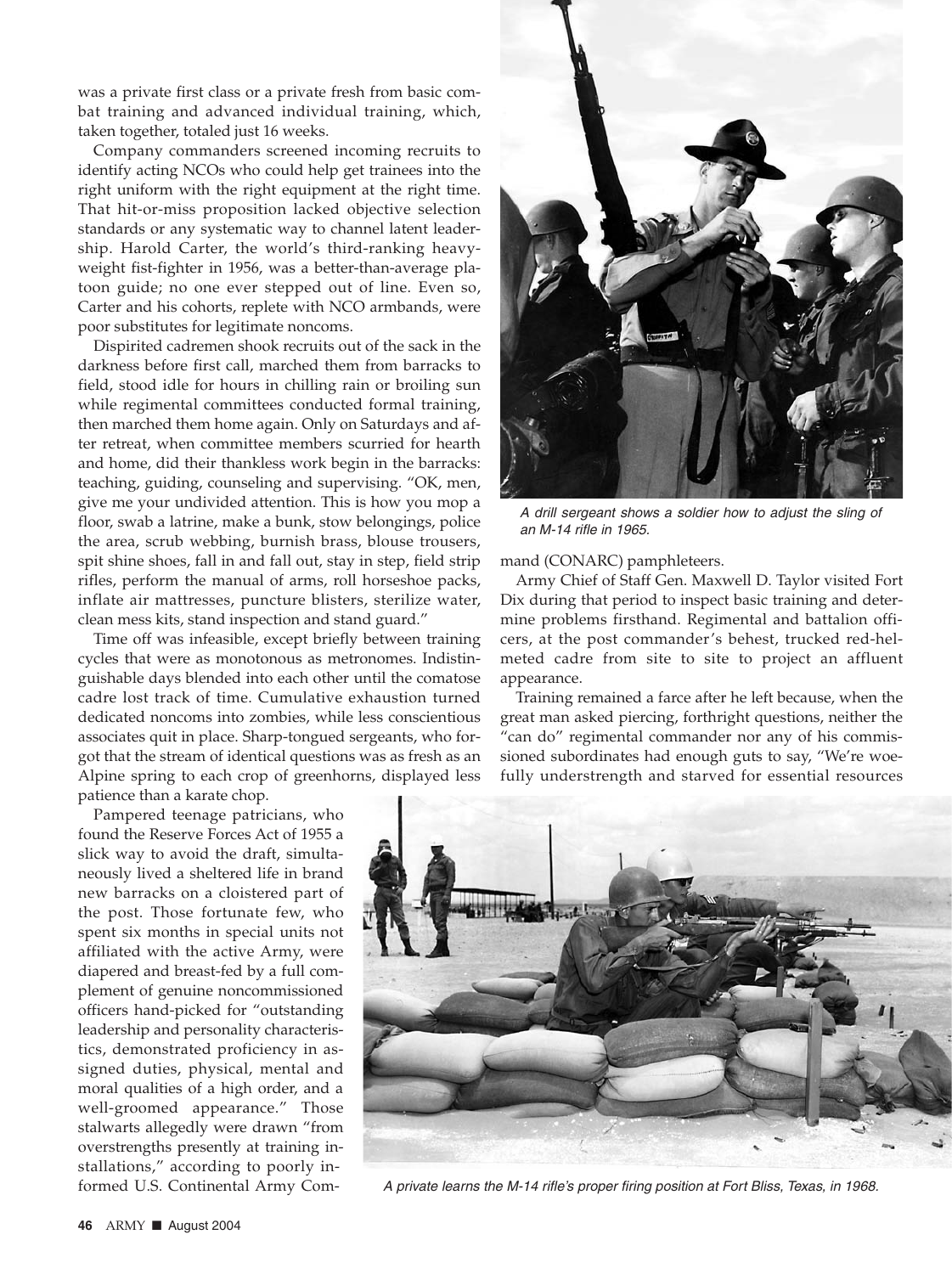was a private first class or a private fresh from basic combat training and advanced individual training, which, taken together, totaled just 16 weeks.

Company commanders screened incoming recruits to identify acting NCOs who could help get trainees into the right uniform with the right equipment at the right time. That hit-or-miss proposition lacked objective selection standards or any systematic way to channel latent leadership. Harold Carter, the world's third-ranking heavyweight fist-fighter in 1956, was a better-than-average platoon guide; no one ever stepped out of line. Even so, Carter and his cohorts, replete with NCO armbands, were poor substitutes for legitimate noncoms.

Dispirited cadremen shook recruits out of the sack in the darkness before first call, marched them from barracks to field, stood idle for hours in chilling rain or broiling sun while regimental committees conducted formal training, then marched them home again. Only on Saturdays and after retreat, when committee members scurried for hearth and home, did their thankless work begin in the barracks: teaching, guiding, counseling and supervising. "OK, men, give me your undivided attention. This is how you mop a floor, swab a latrine, make a bunk, stow belongings, police the area, scrub webbing, burnish brass, blouse trousers, spit shine shoes, fall in and fall out, stay in step, field strip rifles, perform the manual of arms, roll horseshoe packs, inflate air mattresses, puncture blisters, sterilize water, clean mess kits, stand inspection and stand guard."

Time off was infeasible, except briefly between training cycles that were as monotonous as metronomes. Indistinguishable days blended into each other until the comatose cadre lost track of time. Cumulative exhaustion turned dedicated noncoms into zombies, while less conscientious associates quit in place. Sharp-tongued sergeants, who forgot that the stream of identical questions was as fresh as an Alpine spring to each crop of greenhorns, displayed less patience than a karate chop.

Pampered teenage patricians, who found the Reserve Forces Act of 1955 a slick way to avoid the draft, simultaneously lived a sheltered life in brand new barracks on a cloistered part of the post. Those fortunate few, who spent six months in special units not affiliated with the active Army, were diapered and breast-fed by a full complement of genuine noncommissioned officers hand-picked for "outstanding leadership and personality characteristics, demonstrated proficiency in assigned duties, physical, mental and moral qualities of a high order, and a well-groomed appearance." Those stalwarts allegedly were drawn "from overstrengths presently at training installations," according to poorly informed U.S. Continental Army Com-



A drill sergeant shows a soldier how to adjust the sling of an M-14 rifle in 1965.

mand (CONARC) pamphleteers.

Army Chief of Staff Gen. Maxwell D. Taylor visited Fort Dix during that period to inspect basic training and determine problems firsthand. Regimental and battalion officers, at the post commander's behest, trucked red-helmeted cadre from site to site to project an affluent appearance.

Training remained a farce after he left because, when the great man asked piercing, forthright questions, neither the "can do" regimental commander nor any of his commissioned subordinates had enough guts to say, "We're woefully understrength and starved for essential resources



A private learns the M-14 rifle's proper firing position at Fort Bliss, Texas, in 1968.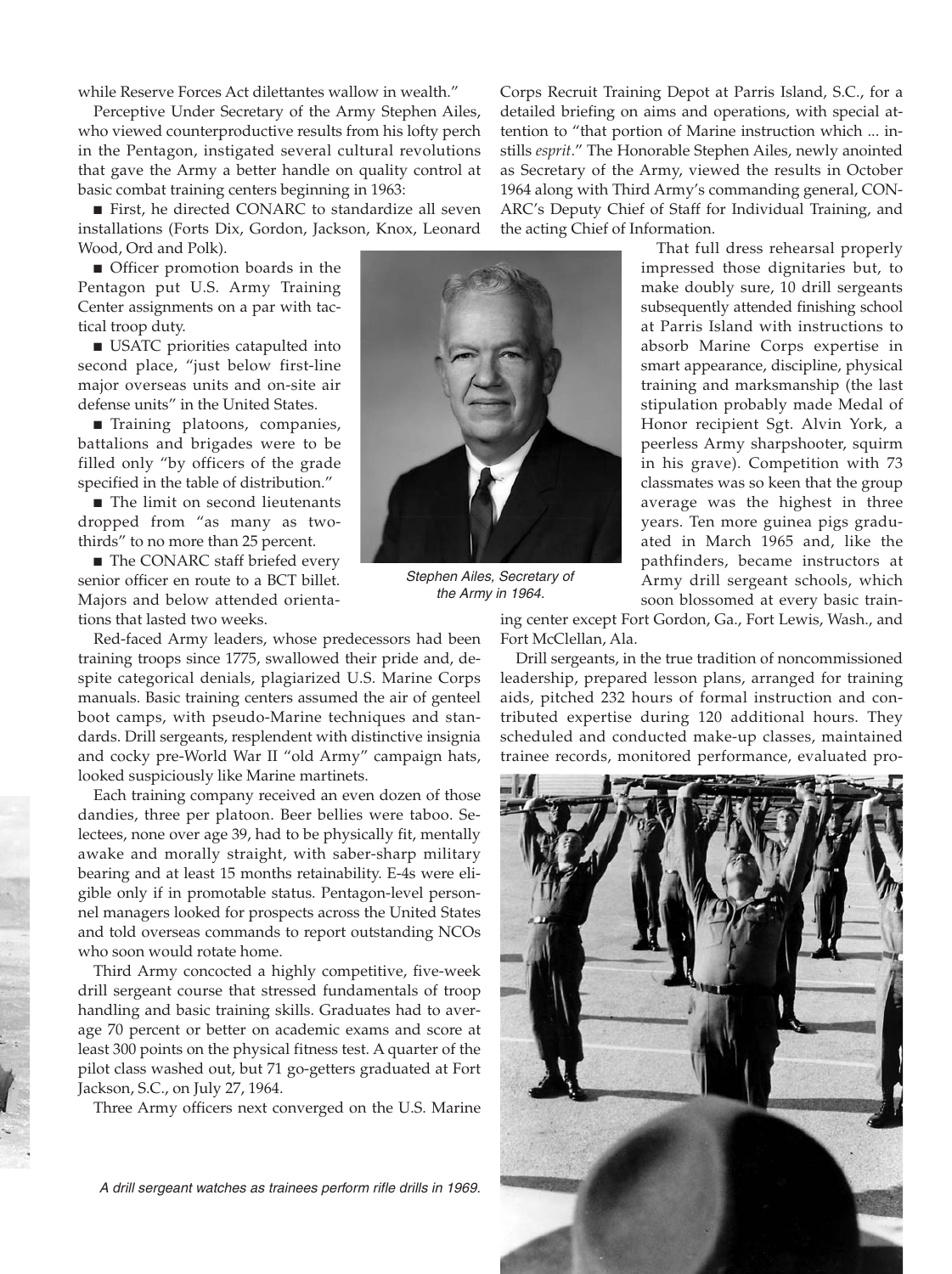while Reserve Forces Act dilettantes wallow in wealth."

Perceptive Under Secretary of the Army Stephen Ailes, who viewed counterproductive results from his lofty perch in the Pentagon, instigated several cultural revolutions that gave the Army a better handle on quality control at basic combat training centers beginning in 1963:

■ First, he directed CONARC to standardize all seven installations (Forts Dix, Gordon, Jackson, Knox, Leonard Wood, Ord and Polk).

■ Officer promotion boards in the Pentagon put U.S. Army Training Center assignments on a par with tactical troop duty.

■ USATC priorities catapulted into second place, "just below first-line major overseas units and on-site air defense units" in the United States.

■ Training platoons, companies, battalions and brigades were to be filled only "by officers of the grade specified in the table of distribution."

■ The limit on second lieutenants dropped from "as many as twothirds" to no more than 25 percent.

■ The CONARC staff briefed every senior officer en route to a BCT billet. Majors and below attended orientations that lasted two weeks.

Red-faced Army leaders, whose predecessors had been training troops since 1775, swallowed their pride and, despite categorical denials, plagiarized U.S. Marine Corps manuals. Basic training centers assumed the air of genteel boot camps, with pseudo-Marine techniques and standards. Drill sergeants, resplendent with distinctive insignia and cocky pre-World War II "old Army" campaign hats, looked suspiciously like Marine martinets.

Each training company received an even dozen of those dandies, three per platoon. Beer bellies were taboo. Selectees, none over age 39, had to be physically fit, mentally awake and morally straight, with saber-sharp military bearing and at least 15 months retainability. E-4s were eligible only if in promotable status. Pentagon-level personnel managers looked for prospects across the United States and told overseas commands to report outstanding NCOs who soon would rotate home.

Third Army concocted a highly competitive, five-week drill sergeant course that stressed fundamentals of troop handling and basic training skills. Graduates had to average 70 percent or better on academic exams and score at least 300 points on the physical fitness test. A quarter of the pilot class washed out, but 71 go-getters graduated at Fort Jackson, S.C., on July 27, 1964.

Three Army officers next converged on the U.S. Marine

Corps Recruit Training Depot at Parris Island, S.C., for a detailed briefing on aims and operations, with special attention to "that portion of Marine instruction which ... instills *esprit*." The Honorable Stephen Ailes, newly anointed as Secretary of the Army, viewed the results in October 1964 along with Third Army's commanding general, CON-ARC's Deputy Chief of Staff for Individual Training, and the acting Chief of Information.

That full dress rehearsal properly impressed those dignitaries but, to make doubly sure, 10 drill sergeants subsequently attended finishing school at Parris Island with instructions to absorb Marine Corps expertise in smart appearance, discipline, physical training and marksmanship (the last stipulation probably made Medal of Honor recipient Sgt. Alvin York, a peerless Army sharpshooter, squirm in his grave). Competition with 73 classmates was so keen that the group average was the highest in three years. Ten more guinea pigs graduated in March 1965 and, like the pathfinders, became instructors at Army drill sergeant schools, which soon blossomed at every basic train-

ing center except Fort Gordon, Ga., Fort Lewis, Wash., and Fort McClellan, Ala.

Drill sergeants, in the true tradition of noncommissioned leadership, prepared lesson plans, arranged for training aids, pitched 232 hours of formal instruction and contributed expertise during 120 additional hours. They scheduled and conducted make-up classes, maintained trainee records, monitored performance, evaluated pro-



A drill sergeant watches as trainees perform rifle drills in 1969.



Stephen Ailes, Secretary of the Army in 1964.